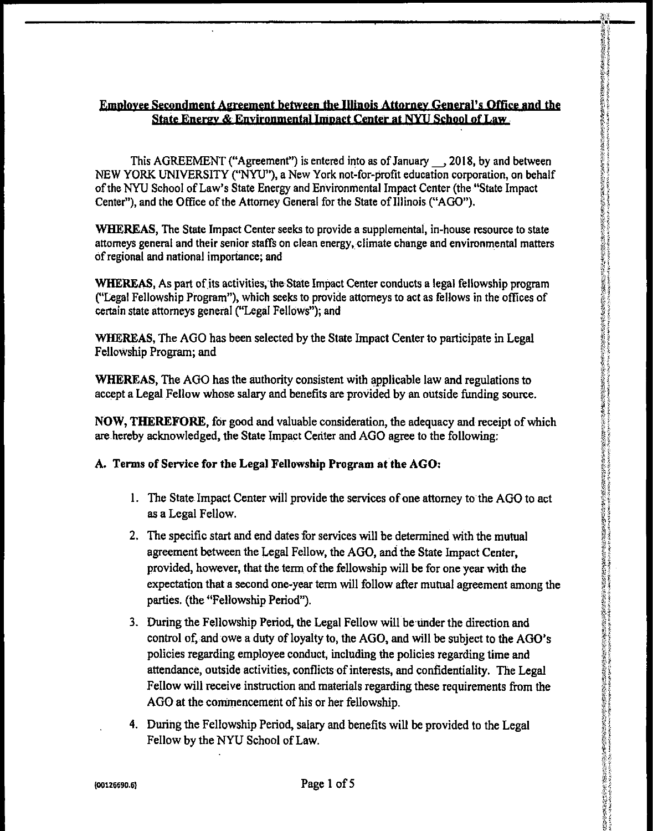# **Employee Secondment Agreement between the Illinois Attorney General's Office and the** State Energy & Environmental Impact Center at NYU School of Law

This AGREEMENT ("Agreement") is entered into as of January 3018, by and between NEW YORK UNIVERSITY ("NYU"), a New York not-for-profit education corporation, on behalf of the NYU School of Law's State Energy and Environmental Impact Center (the "State Impact Center"), and the Office of the Attorney General for the State of Illinois (" AGO").

WHEREAS, The State Impact Center seeks to provide a supplemental, in-house resource to state attorneys general and their senior staffs on clean energy, climate change and environmental matters of regional and national importance; and

WHEREAS, As part of its activities, the State Impact Center conducts <sup>a</sup> legal fellowship program Legal Fellowship Program"), which seeks to provide attorneys to act as fellows in the offices of certain state attorneys general (" Legal Fellows"); and

WHEREAS, The AGO has been selected by the State Impact Center to participate in Legal Fellowship Program; and

WHEREAS, The AGO has the authority consistent with applicable law and regulations to accept a Legal Fellow whose salary and benefits are provided by an outside funding source.

NOW, THEREFORE, for good and valuable consideration, the adequacy and receipt of which are hereby acknowledged, the State Impact Center and AGO agree to the following:

# A. Terms of Service for the Legal Fellowship Program at the AGO:

1. The State Impact Center will provide the services of one attorney to the AGO to act as a Legal Fellow.

- 2. The specific start and end dates for services will be determined with the mutual agreement between the Legal Fellow, the AGO, and the State Impact Center, provided, however, that the term of the fellowship will be for one year with the expectation that a second one-year term will follow after mutual agreement among the parties. (the "Fellowship Period").
- 3. During the Fellowship Period, the Legal Fellow will be under the direction and control of, and owe a duty of loyalty to, the AGO, and will be subject to the AGO's policies regarding employee conduct, including the policies regarding time and attendance, outside activities, conflicts of interests, and confidentiality. The Legal Fellow will receive instruction and materials regarding these requirements from the AGO at the commencement of his or her fellowship.
- 4. During the Fellowship Period, salary and benefits will be provided to the Legal Fellow by the NYU School of Law.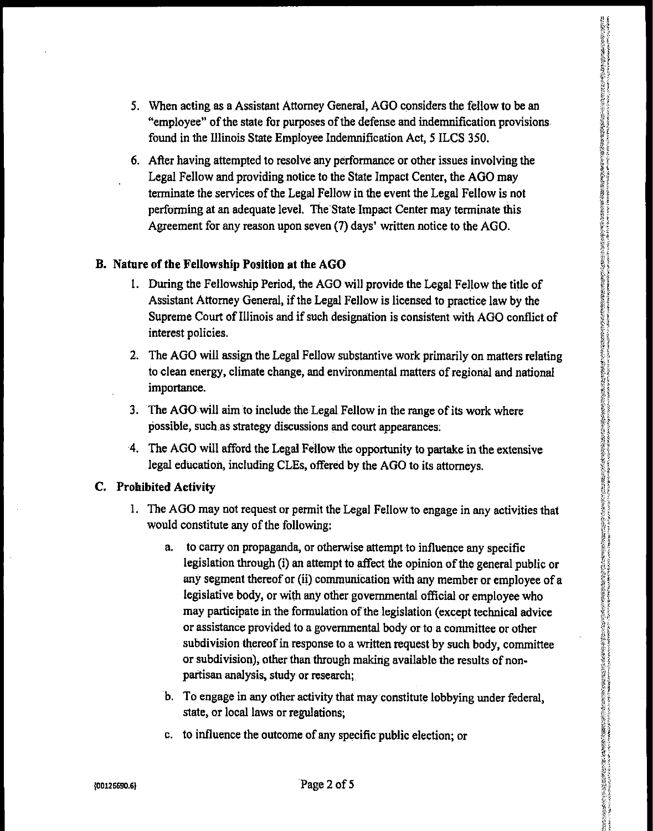- 
- 5. When acting as a Assistant Attorney General, AGO considers the fellow to be an employee" of the state for purposes of the defense and indemnification provisions found in the Illinois State Employee Indemnification Act, 5 ILCS 350.
- 6. After having attempted to resolve any performance or other issues involving the Legal Fellow and providing notice to the State Impact Center, the AGO may terminate the services of the Legal Fellow in the event the Legal Fellow is not performing at an adequate level. The State Impact Center may terminate this Agreement for any reason upon seven (7) days' written notice to the AGO.

### B. Nature of the Fellowship Position at the AGO

- I. During the Fellowship Period, the AGO will provide the Legal Fellow the title of Assistant Attorney General, if the Legal Fellow is licensed to practice law by the Supreme Court of Illinois and if such designation is consistent with AGO conflict of interest policies.
- 2. The AGO will assign the Legal Fellow substantive work primarily on matters relating to clean energy, climate change, and environmental matters of regional and national importance.
- 3. The AGO will aim to include the Legal Fellow in the range of its work where possible, such as strategy discussions and court appearances:
- 4. The AGO will afford the Legal Fellow the opportunity to partake in the extensive legal education, including CLEs, offered by the AGO to its attorneys.

# C. Prohibited Activity

- 1. The AGO may not request or permit the Legal Fellow to engage in any activities that would constitute any of the following:
	- a. to carry on propaganda, or otherwise attempt to influence any specific legislation through (i) an attempt to affect the opinion of the general public or any segment thereof or (ii) communication with any member or employee of <sup>a</sup> legislative body, or with any other governmental official or employee who may participate in the formulation of the legislation (except technical advice or assistance provided to a governmental body or to a committee or other subdivision thereof in response to a written request by such body, committee or subdivision), other than through making available the results of nonpartisan analysis, study or research;
	- b. To engage in any other activity that may constitute lobbying under federal, state, or local laws or regulations;
	- c. to influence the outcome of any specific public election; or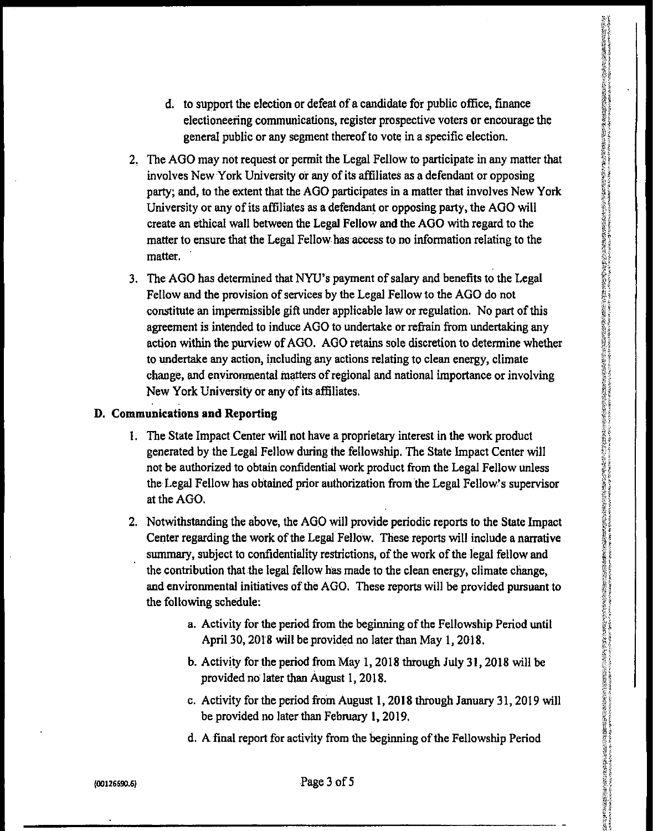- d. to support the election or defeat of a candidate for public office, finance electioneering communications, register prospective voters or encourage the general public or any segment thereof to vote in a specific election.
- 2. The AGO may not request or permit the Legal Fellow to participate in any matter that involves New York University or any of its affiliates as a defendant or opposing party; and, to the extent that the AGO participates in a matter that involves New York University or any of its affiliates as <sup>a</sup> defendant or opposing party, the AGO will create an ethical wall between the Legal Fellow and the AGO with regard to the. matter to ensure that the Legal Fellow has access to no information relating to the matter.
- 3. The AGO has determined that NYU' <sup>s</sup> payment of salary and benefits to the Legal Fellow and the provision of services by the Legal Fellow to the AGO do not constitute an impermissible gift under applicable law or regulation. No part of this agreement is intended to induce AGO to undertake or refrain from undertaking any action within the purview of AGO. AGO retains sole discretion to determine whether to undertake any action, including any actions relating to clean energy, climate change, and environmental matters ofregional and national importance or involving New York University or anyofits affiliates.

### D. Communications and Reporting

1. The State Impact Center will not have a proprietary interest in the work product generated by the Legal Fellow during the fellowship. The State Impact Center will not be authorized to obtain confidential work product from the Legal Fellow unless the Legal Fellow has obtained prior authorization from the Legal Fellow's supervisor at the AGO.

i4

- 2. Notwithstanding the above, the AGO will provide periodic reports to the State Impact Center regarding the work of the Legal Fellow. These reports will include a narrative summary, subject to confidentiality restrictions, of the work of the legal fellow and the contribution that the legal fellow has made to the clean energy, climate change, and environmental initiatives of the AGO. These reports will be provided pursuant to the following schedule:
	- a. Activity for the period from the beginning ofthe Fellowship Period until April 30, 2018 will be provided no later than May 1, 2018.
	- b. Activity for the period from May 1, 2018 through July 31, 2018 will be provided no later than August I, 2018.
	- c. Activity for the period from August 1, 2018 through January 31, 2019 will be provided no later than February 1, 2019.
	- d. A final report for activity from the beginning of the Fellowship Period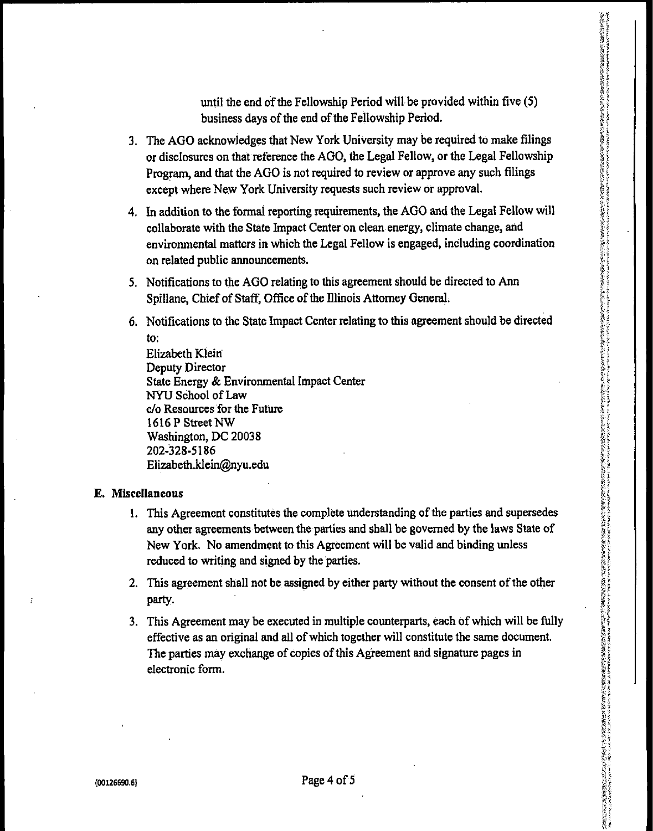until the end of the Fellowship Period will be provided within five (5) business days of the end of the Fellowship Period.

- 3. The AGO acknowledges that New York University may be required to make filings or disclosures on that reference the AGO, the Legal Fellow, or the Legal Fellowship Program, and that the AGO is not required to review or approve any such filings except where New York University requests such review or approval.
- 4. In addition to the formal reporting requirements, the AGO and the Legal Fellow will collaborate with the State Impact Center on clean energy, climate change, and environmental matters in which the Legal Fellow is engaged, including coordination on related public announcements.
- 5. Notifications to the AGO relating to this agreement should be directed to Ann Spillane, Chief of Staff, Office of the Illinois Attorney General:
- 6. Notifications to the State Impact Center relating to this agreement should be directed to:
	- Elizabeth Klein Deputy Director State Energy & Environmental Impact Center NYU School of Law c/o Resources for the Future 1616 P Street NW Washington, DC 20038 202-328-5186 Elizabeth.klein® nyu.edu

#### E. Miscellaneous

1. This Agreement constitutes the complete understanding of the parties and supersedes any other agreements between the parties and shall be governed by the laws State of New York. No amendment to this Agreement will be valid and binding unless reduced to writing and signed by the parties.

2023年3月24日におけるためには、2022年3月25日には、2022年には、2022年には、2022年には、そのようにもようとしているためには、そのためには、そのためには、そのためには、そのためには、そのためには、その<br>ないのが、そのためには、そのためには、そのためには、そのためには、そのために、そのためには、そのためには、そのためには、そのためには、そのためには、そのためには、そのためには、そのためには、そのためには、そのためには

- 2. This agreement shall not be assigned by either party without the consent of the other party.
- 3. This Agreement may be executed in multiple counterparts, each of which will be fully effective as an original and all of which together will constitute the same document. The parties may exchange of copies of this Agreement and signature pages in electronic form.